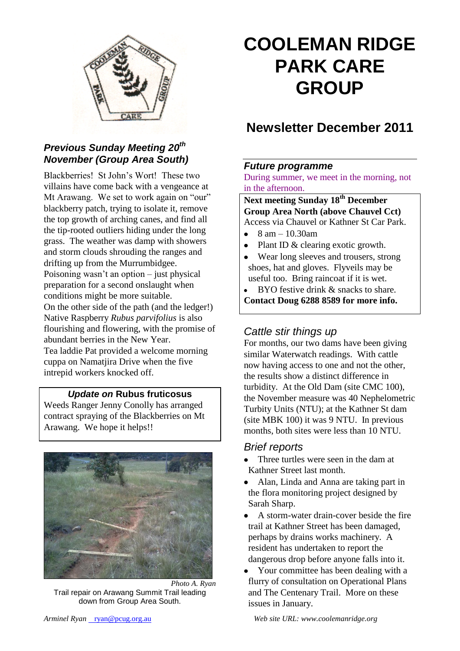

## *Previous Sunday Meeting 20th November (Group Area South)*

Blackberries! St John's Wort! These two villains have come back with a vengeance at Mt Arawang. We set to work again on "our" blackberry patch, trying to isolate it, remove the top growth of arching canes, and find all the tip-rooted outliers hiding under the long grass. The weather was damp with showers and storm clouds shrouding the ranges and drifting up from the Murrumbidgee. Poisoning wasn't an option – just physical preparation for a second onslaught when conditions might be more suitable. On the other side of the path (and the ledger!) Native Raspberry *Rubus parvifolius* is also flourishing and flowering, with the promise of abundant berries in the New Year. Tea laddie Pat provided a welcome morning cuppa on Namatjira Drive when the five intrepid workers knocked off.

#### *Update on* **Rubus fruticosus**

Weeds Ranger Jenny Conolly has arranged contract spraying of the Blackberries on Mt Arawang. We hope it helps!!



*Photo A. Ryan* Trail repair on Arawang Summit Trail leading down from Group Area South.

# **COOLEMAN RIDGE PARK CARE GROUP**

## **Newsletter December 2011**

## *Future programme*

During summer, we meet in the morning, not in the afternoon.

**Next meeting Sunday 18th December Group Area North (above Chauvel Cct)** Access via Chauvel or Kathner St Car Park.

- $\bullet$  8 am 10.30am
- Plant ID & clearing exotic growth.
- Wear long sleeves and trousers, strong shoes, hat and gloves. Flyveils may be useful too. Bring raincoat if it is wet.
- BYO festive drink & snacks to share. **Contact Doug 6288 8589 for more info.**

## *Cattle stir things up*

For months, our two dams have been giving similar Waterwatch readings. With cattle now having access to one and not the other, the results show a distinct difference in turbidity. At the Old Dam (site CMC 100), the November measure was 40 Nephelometric Turbity Units (NTU); at the Kathner St dam (site MBK 100) it was 9 NTU. In previous months, both sites were less than 10 NTU.

#### *Brief reports*

- Three turtles were seen in the dam at  $\bullet$ Kathner Street last month.
- Alan, Linda and Anna are taking part in the flora monitoring project designed by Sarah Sharp.
- A storm-water drain-cover beside the fire trail at Kathner Street has been damaged, perhaps by drains works machinery. A resident has undertaken to report the dangerous drop before anyone falls into it.
- Your committee has been dealing with a flurry of consultation on Operational Plans and The Centenary Trail. More on these issues in January.